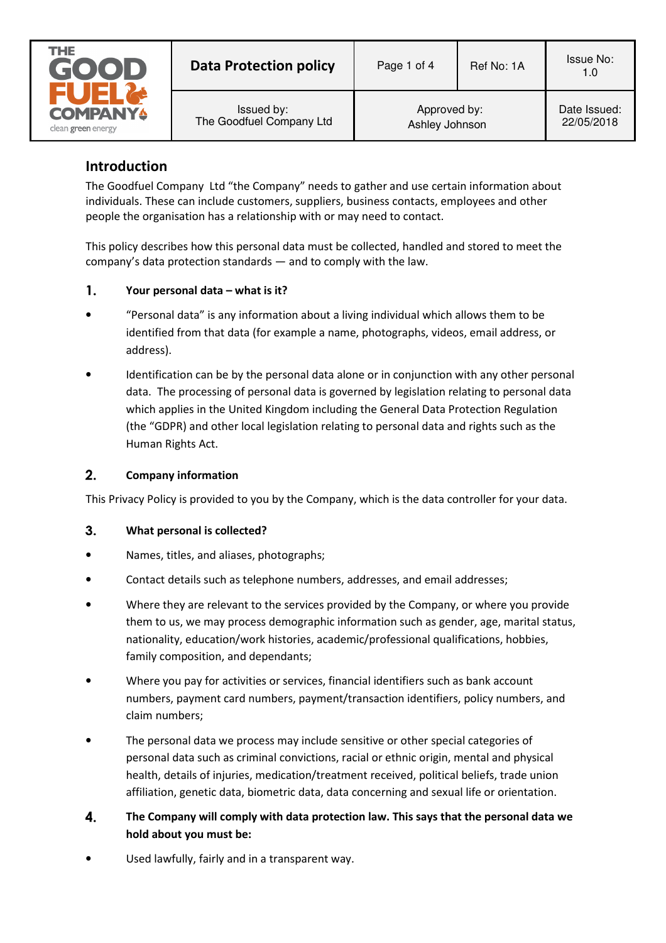

| <b>Data Protection policy</b> | Page 1 of 4    | Ref No: 1A | <b>Issue No:</b><br>1.0 |
|-------------------------------|----------------|------------|-------------------------|
| Issued by:                    | Approved by:   |            | Date Issued:            |
| The Goodfuel Company Ltd      | Ashley Johnson |            | 22/05/2018              |

# **Introduction**

The Goodfuel Company Ltd "the Company" needs to gather and use certain information about individuals. These can include customers, suppliers, business contacts, employees and other people the organisation has a relationship with or may need to contact.

This policy describes how this personal data must be collected, handled and stored to meet the company's data protection standards — and to comply with the law.

#### $\mathbf{1}$ . **Your personal data – what is it?**

- "Personal data" is any information about a living individual which allows them to be identified from that data (for example a name, photographs, videos, email address, or address).
- Identification can be by the personal data alone or in conjunction with any other personal data. The processing of personal data is governed by legislation relating to personal data which applies in the United Kingdom including the General Data Protection Regulation (the "GDPR) and other local legislation relating to personal data and rights such as the Human Rights Act.

#### $2.$ **Company information**

This Privacy Policy is provided to you by the Company, which is the data controller for your data.

#### $3.$ **What personal is collected?**

- Names, titles, and aliases, photographs;
- Contact details such as telephone numbers, addresses, and email addresses;
- Where they are relevant to the services provided by the Company, or where you provide them to us, we may process demographic information such as gender, age, marital status, nationality, education/work histories, academic/professional qualifications, hobbies, family composition, and dependants;
- Where you pay for activities or services, financial identifiers such as bank account numbers, payment card numbers, payment/transaction identifiers, policy numbers, and claim numbers;
- The personal data we process may include sensitive or other special categories of personal data such as criminal convictions, racial or ethnic origin, mental and physical health, details of injuries, medication/treatment received, political beliefs, trade union affiliation, genetic data, biometric data, data concerning and sexual life or orientation.
- $\mathbf{4}$ **The Company will comply with data protection law. This says that the personal data we hold about you must be:**
- Used lawfully, fairly and in a transparent way.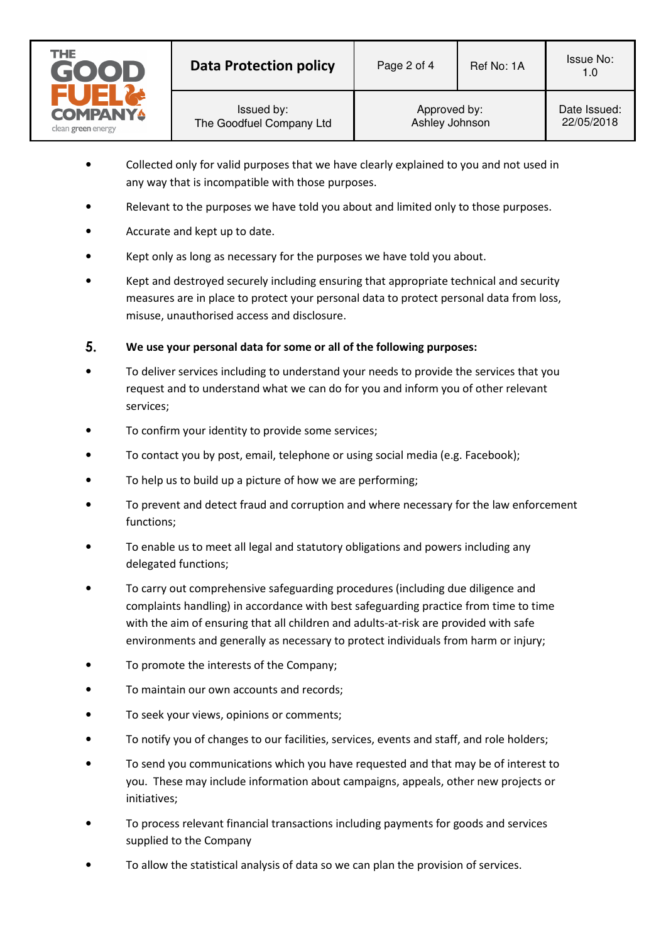

- Collected only for valid purposes that we have clearly explained to you and not used in any way that is incompatible with those purposes.
- Relevant to the purposes we have told you about and limited only to those purposes.
- Accurate and kept up to date.
- Kept only as long as necessary for the purposes we have told you about.
- Kept and destroyed securely including ensuring that appropriate technical and security measures are in place to protect your personal data to protect personal data from loss, misuse, unauthorised access and disclosure.

# 5. **We use your personal data for some or all of the following purposes:**

- To deliver services including to understand your needs to provide the services that you request and to understand what we can do for you and inform you of other relevant services;
- To confirm your identity to provide some services;
- To contact you by post, email, telephone or using social media (e.g. Facebook);
- To help us to build up a picture of how we are performing;
- To prevent and detect fraud and corruption and where necessary for the law enforcement functions;
- To enable us to meet all legal and statutory obligations and powers including any delegated functions;
- To carry out comprehensive safeguarding procedures (including due diligence and complaints handling) in accordance with best safeguarding practice from time to time with the aim of ensuring that all children and adults-at-risk are provided with safe environments and generally as necessary to protect individuals from harm or injury;
- To promote the interests of the Company;
- To maintain our own accounts and records;
- To seek your views, opinions or comments;
- To notify you of changes to our facilities, services, events and staff, and role holders;
- To send you communications which you have requested and that may be of interest to you. These may include information about campaigns, appeals, other new projects or initiatives;
- To process relevant financial transactions including payments for goods and services supplied to the Company
- To allow the statistical analysis of data so we can plan the provision of services.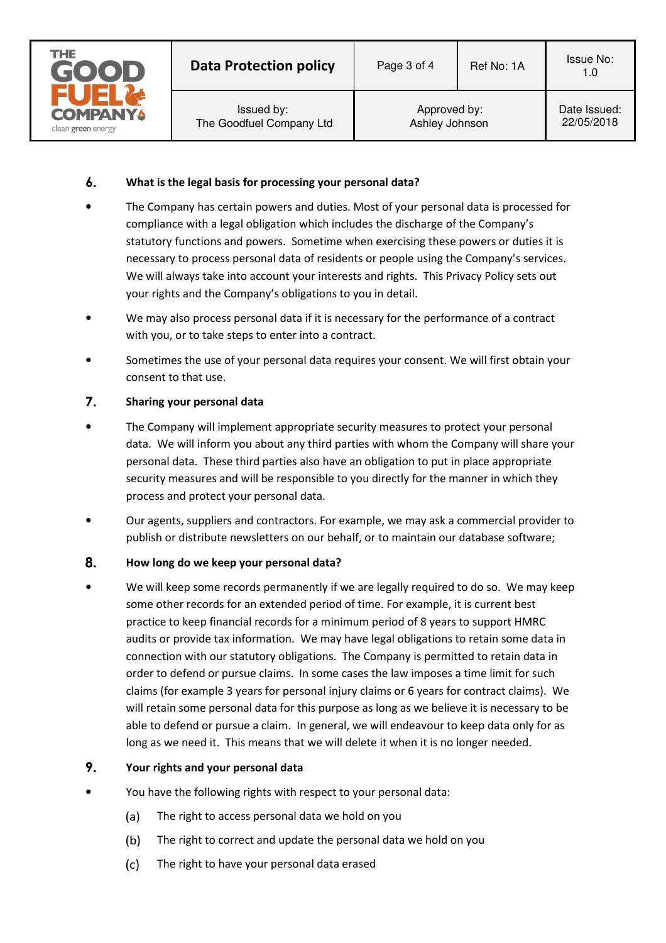

#### $\mathbf{6}$ . **What is the legal basis for processing your personal data?**

- The Company has certain powers and duties. Most of your personal data is processed for compliance with a legal obligation which includes the discharge of the Company's statutory functions and powers. Sometime when exercising these powers or duties it is necessary to process personal data of residents or people using the Company's services. We will always take into account your interests and rights. This Privacy Policy sets out your rights and the Company's obligations to you in detail.
- We may also process personal data if it is necessary for the performance of a contract with you, or to take steps to enter into a contract.
- Sometimes the use of your personal data requires your consent. We will first obtain your consent to that use.

# $\overline{7}$ . **Sharing your personal data**

- The Company will implement appropriate security measures to protect your personal data. We will inform you about any third parties with whom the Company will share your personal data. These third parties also have an obligation to put in place appropriate security measures and will be responsible to you directly for the manner in which they process and protect your personal data.
- Our agents, suppliers and contractors. For example, we may ask a commercial provider to publish or distribute newsletters on our behalf, or to maintain our database software;

# 8. **How long do we keep your personal data?**

• We will keep some records permanently if we are legally required to do so. We may keep some other records for an extended period of time. For example, it is current best practice to keep financial records for a minimum period of 8 years to support HMRC audits or provide tax information. We may have legal obligations to retain some data in connection with our statutory obligations. The Company is permitted to retain data in order to defend or pursue claims. In some cases the law imposes a time limit for such claims (for example 3 years for personal injury claims or 6 years for contract claims). We will retain some personal data for this purpose as long as we believe it is necessary to be able to defend or pursue a claim. In general, we will endeavour to keep data only for as long as we need it. This means that we will delete it when it is no longer needed.

#### 9. **Your rights and your personal data**

- You have the following rights with respect to your personal data:
	- $(a)$ The right to access personal data we hold on you
	- The right to correct and update the personal data we hold on you  $(b)$
	- $(c)$ The right to have your personal data erased